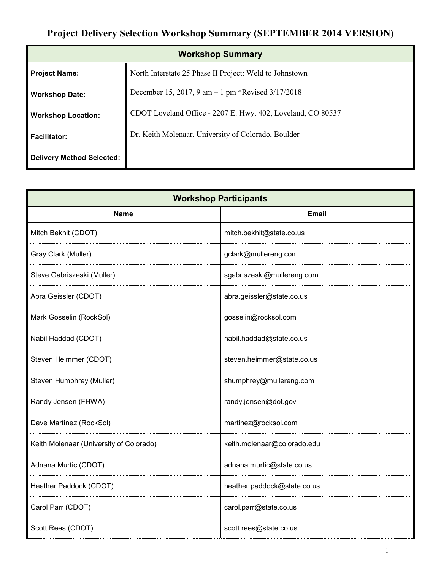# **Project Delivery Selection Workshop Summary (SEPTEMBER 2014 VERSION)**

| <b>Workshop Summary</b>          |                                                             |  |
|----------------------------------|-------------------------------------------------------------|--|
| <b>Project Name:</b>             | North Interstate 25 Phase II Project: Weld to Johnstown     |  |
| <b>Workshop Date:</b>            | December 15, 2017, 9 am - 1 pm *Revised 3/17/2018           |  |
| <b>Workshop Location:</b>        | CDOT Loveland Office - 2207 E. Hwy. 402, Loveland, CO 80537 |  |
| <b>Facilitator:</b>              | Dr. Keith Molenaar, University of Colorado, Boulder         |  |
| <b>Delivery Method Selected:</b> |                                                             |  |

| <b>Workshop Participants</b>            |                             |  |
|-----------------------------------------|-----------------------------|--|
| <b>Name</b>                             | <b>Email</b>                |  |
| Mitch Bekhit (CDOT)                     | mitch.bekhit@state.co.us    |  |
| Gray Clark (Muller)                     | gclark@mullereng.com        |  |
| Steve Gabriszeski (Muller)              | sgabriszeski@mullereng.com  |  |
| Abra Geissler (CDOT)                    | abra.geissler@state.co.us   |  |
| Mark Gosselin (RockSol)                 | gosselin@rocksol.com        |  |
| Nabil Haddad (CDOT)                     | nabil.haddad@state.co.us    |  |
| Steven Heimmer (CDOT)                   | steven.heimmer@state.co.us  |  |
| Steven Humphrey (Muller)                | shumphrey@mullereng.com     |  |
| Randy Jensen (FHWA)                     | randy.jensen@dot.gov        |  |
| Dave Martinez (RockSol)                 | martinez@rocksol.com        |  |
| Keith Molenaar (University of Colorado) | keith.molenaar@colorado.edu |  |
| Adnana Murtic (CDOT)                    | adnana.murtic@state.co.us   |  |
| Heather Paddock (CDOT)                  | heather.paddock@state.co.us |  |
| Carol Parr (CDOT)                       | carol.parr@state.co.us      |  |
| Scott Rees (CDOT)                       | scott.rees@state.co.us      |  |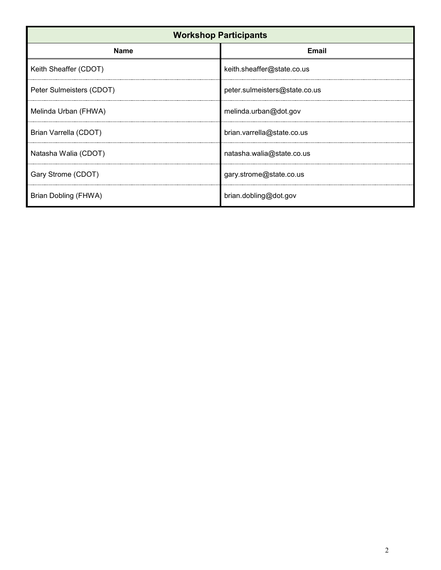| <b>Workshop Participants</b> |                               |  |
|------------------------------|-------------------------------|--|
| <b>Name</b>                  | <b>Email</b>                  |  |
| Keith Sheaffer (CDOT)        | keith.sheaffer@state.co.us    |  |
| Peter Sulmeisters (CDOT)     | peter.sulmeisters@state.co.us |  |
| Melinda Urban (FHWA)         | melinda.urban@dot.gov         |  |
| Brian Varrella (CDOT)        | brian.varrella@state.co.us    |  |
| Natasha Walia (CDOT)         | natasha.walia@state.co.us     |  |
| Gary Strome (CDOT)           | gary.strome@state.co.us       |  |
| Brian Dobling (FHWA)         | brian.dobling@dot.gov         |  |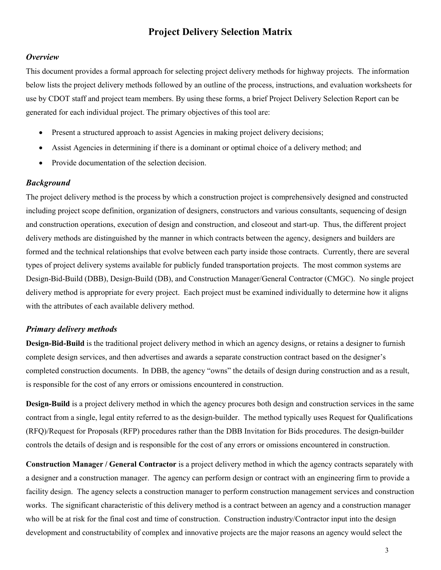# **Project Delivery Selection Matrix**

### *Overview*

This document provides a formal approach for selecting project delivery methods for highway projects. The information below lists the project delivery methods followed by an outline of the process, instructions, and evaluation worksheets for use by CDOT staff and project team members. By using these forms, a brief Project Delivery Selection Report can be generated for each individual project. The primary objectives of this tool are:

- Present a structured approach to assist Agencies in making project delivery decisions;
- Assist Agencies in determining if there is a dominant or optimal choice of a delivery method; and
- Provide documentation of the selection decision.

### *Background*

The project delivery method is the process by which a construction project is comprehensively designed and constructed including project scope definition, organization of designers, constructors and various consultants, sequencing of design and construction operations, execution of design and construction, and closeout and start-up. Thus, the different project delivery methods are distinguished by the manner in which contracts between the agency, designers and builders are formed and the technical relationships that evolve between each party inside those contracts. Currently, there are several types of project delivery systems available for publicly funded transportation projects. The most common systems are Design-Bid-Build (DBB), Design-Build (DB), and Construction Manager/General Contractor (CMGC). No single project delivery method is appropriate for every project. Each project must be examined individually to determine how it aligns with the attributes of each available delivery method.

### *Primary delivery methods*

**Design-Bid-Build** is the traditional project delivery method in which an agency designs, or retains a designer to furnish complete design services, and then advertises and awards a separate construction contract based on the designer's completed construction documents. In DBB, the agency "owns" the details of design during construction and as a result, is responsible for the cost of any errors or omissions encountered in construction.

**Design-Build** is a project delivery method in which the agency procures both design and construction services in the same contract from a single, legal entity referred to as the design-builder. The method typically uses Request for Qualifications (RFQ)/Request for Proposals (RFP) procedures rather than the DBB Invitation for Bids procedures. The design-builder controls the details of design and is responsible for the cost of any errors or omissions encountered in construction.

**Construction Manager / General Contractor** is a project delivery method in which the agency contracts separately with a designer and a construction manager. The agency can perform design or contract with an engineering firm to provide a facility design. The agency selects a construction manager to perform construction management services and construction works. The significant characteristic of this delivery method is a contract between an agency and a construction manager who will be at risk for the final cost and time of construction. Construction industry/Contractor input into the design development and constructability of complex and innovative projects are the major reasons an agency would select the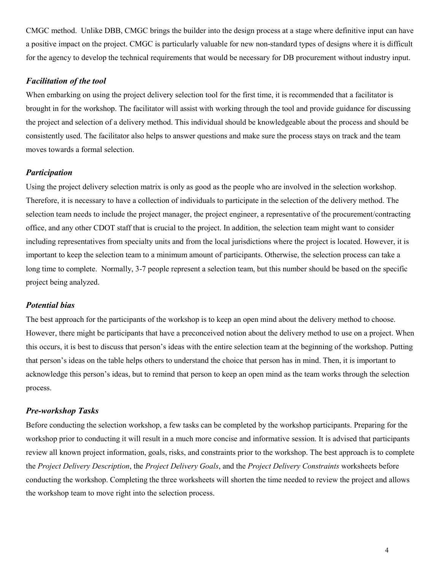CMGC method. Unlike DBB, CMGC brings the builder into the design process at a stage where definitive input can have a positive impact on the project. CMGC is particularly valuable for new non-standard types of designs where it is difficult for the agency to develop the technical requirements that would be necessary for DB procurement without industry input.

### *Facilitation of the tool*

When embarking on using the project delivery selection tool for the first time, it is recommended that a facilitator is brought in for the workshop. The facilitator will assist with working through the tool and provide guidance for discussing the project and selection of a delivery method. This individual should be knowledgeable about the process and should be consistently used. The facilitator also helps to answer questions and make sure the process stays on track and the team moves towards a formal selection.

### *Participation*

Using the project delivery selection matrix is only as good as the people who are involved in the selection workshop. Therefore, it is necessary to have a collection of individuals to participate in the selection of the delivery method. The selection team needs to include the project manager, the project engineer, a representative of the procurement/contracting office, and any other CDOT staff that is crucial to the project. In addition, the selection team might want to consider including representatives from specialty units and from the local jurisdictions where the project is located. However, it is important to keep the selection team to a minimum amount of participants. Otherwise, the selection process can take a long time to complete. Normally, 3-7 people represent a selection team, but this number should be based on the specific project being analyzed.

### *Potential bias*

The best approach for the participants of the workshop is to keep an open mind about the delivery method to choose. However, there might be participants that have a preconceived notion about the delivery method to use on a project. When this occurs, it is best to discuss that person's ideas with the entire selection team at the beginning of the workshop. Putting that person's ideas on the table helps others to understand the choice that person has in mind. Then, it is important to acknowledge this person's ideas, but to remind that person to keep an open mind as the team works through the selection process.

### *Pre-workshop Tasks*

Before conducting the selection workshop, a few tasks can be completed by the workshop participants. Preparing for the workshop prior to conducting it will result in a much more concise and informative session. It is advised that participants review all known project information, goals, risks, and constraints prior to the workshop. The best approach is to complete the *Project Delivery Description*, the *Project Delivery Goals*, and the *Project Delivery Constraints* worksheets before conducting the workshop. Completing the three worksheets will shorten the time needed to review the project and allows the workshop team to move right into the selection process.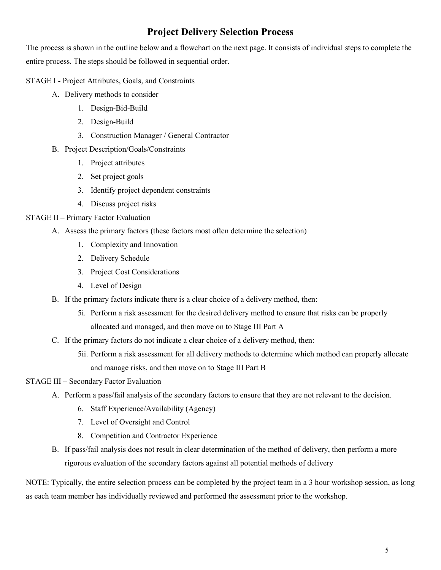# **Project Delivery Selection Process**

The process is shown in the outline below and a flowchart on the next page. It consists of individual steps to complete the entire process. The steps should be followed in sequential order.

### STAGE I - Project Attributes, Goals, and Constraints

- A. Delivery methods to consider
	- 1. Design-Bid-Build
	- 2. Design-Build
	- 3. Construction Manager / General Contractor
- B. Project Description/Goals/Constraints
	- 1. Project attributes
	- 2. Set project goals
	- 3. Identify project dependent constraints
	- 4. Discuss project risks

## STAGE II – Primary Factor Evaluation

- A. Assess the primary factors (these factors most often determine the selection)
	- 1. Complexity and Innovation
	- 2. Delivery Schedule
	- 3. Project Cost Considerations
	- 4. Level of Design
- B. If the primary factors indicate there is a clear choice of a delivery method, then:
	- 5i. Perform a risk assessment for the desired delivery method to ensure that risks can be properly allocated and managed, and then move on to Stage III Part A
- C. If the primary factors do not indicate a clear choice of a delivery method, then:
	- 5ii. Perform a risk assessment for all delivery methods to determine which method can properly allocate and manage risks, and then move on to Stage III Part B

## STAGE III – Secondary Factor Evaluation

- A. Perform a pass/fail analysis of the secondary factors to ensure that they are not relevant to the decision.
	- 6. Staff Experience/Availability (Agency)
	- 7. Level of Oversight and Control
	- 8. Competition and Contractor Experience
- B. If pass/fail analysis does not result in clear determination of the method of delivery, then perform a more rigorous evaluation of the secondary factors against all potential methods of delivery

NOTE: Typically, the entire selection process can be completed by the project team in a 3 hour workshop session, as long as each team member has individually reviewed and performed the assessment prior to the workshop.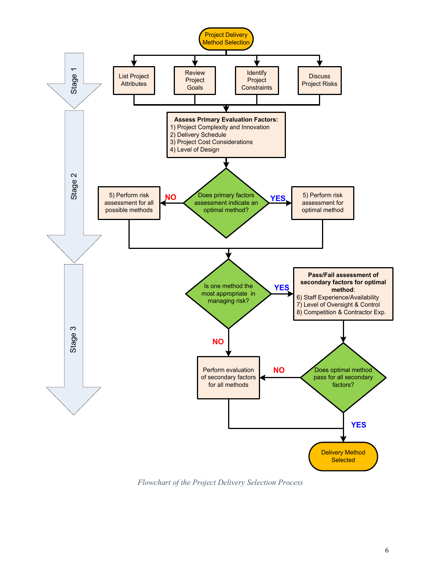

*Flowchart of the Project Delivery Selection Process*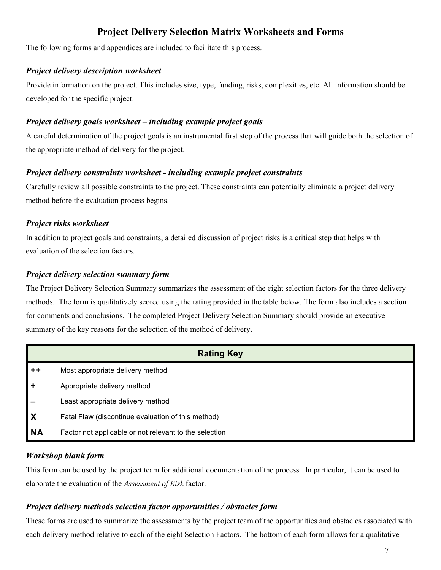# **Project Delivery Selection Matrix Worksheets and Forms**

The following forms and appendices are included to facilitate this process.

### *Project delivery description worksheet*

Provide information on the project. This includes size, type, funding, risks, complexities, etc. All information should be developed for the specific project.

### *Project delivery goals worksheet – including example project goals*

A careful determination of the project goals is an instrumental first step of the process that will guide both the selection of the appropriate method of delivery for the project.

## *Project delivery constraints worksheet - including example project constraints*

Carefully review all possible constraints to the project. These constraints can potentially eliminate a project delivery method before the evaluation process begins.

## *Project risks worksheet*

In addition to project goals and constraints, a detailed discussion of project risks is a critical step that helps with evaluation of the selection factors.

## *Project delivery selection summary form*

The Project Delivery Selection Summary summarizes the assessment of the eight selection factors for the three delivery methods. The form is qualitatively scored using the rating provided in the table below. The form also includes a section for comments and conclusions.The completed Project Delivery Selection Summary should provide an executive summary of the key reasons for the selection of the method of delivery**.**

|                           | <b>Rating Key</b>                                      |  |
|---------------------------|--------------------------------------------------------|--|
| $++$                      | Most appropriate delivery method                       |  |
| ÷                         | Appropriate delivery method                            |  |
|                           | Least appropriate delivery method                      |  |
| $\boldsymbol{\mathsf{X}}$ | Fatal Flaw (discontinue evaluation of this method)     |  |
| <b>NA</b>                 | Factor not applicable or not relevant to the selection |  |

## *Workshop blank form*

This form can be used by the project team for additional documentation of the process. In particular, it can be used to elaborate the evaluation of the *Assessment of Risk* factor.

## *Project delivery methods selection factor opportunities / obstacles form*

These forms are used to summarize the assessments by the project team of the opportunities and obstacles associated with each delivery method relative to each of the eight Selection Factors. The bottom of each form allows for a qualitative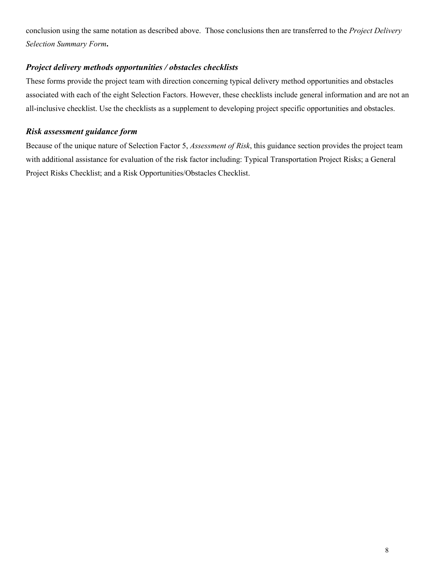conclusion using the same notation as described above. Those conclusions then are transferred to the *Project Delivery Selection Summary Form***.**

### *Project delivery methods opportunities / obstacles checklists*

These forms provide the project team with direction concerning typical delivery method opportunities and obstacles associated with each of the eight Selection Factors. However, these checklists include general information and are not an all-inclusive checklist. Use the checklists as a supplement to developing project specific opportunities and obstacles.

### *Risk assessment guidance form*

Because of the unique nature of Selection Factor 5, *Assessment of Risk*, this guidance section provides the project team with additional assistance for evaluation of the risk factor including: Typical Transportation Project Risks; a General Project Risks Checklist; and a Risk Opportunities/Obstacles Checklist.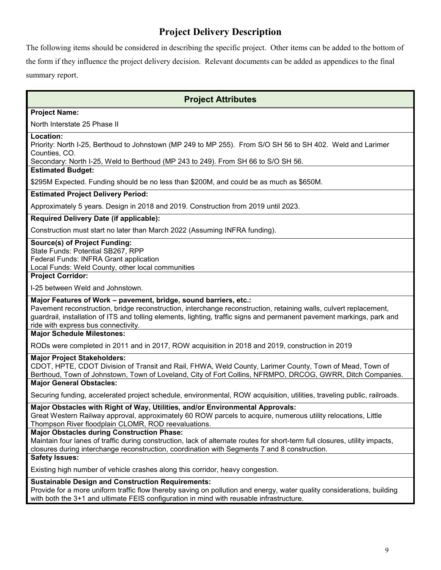# **Project Delivery Description**

The following items should be considered in describing the specific project. Other items can be added to the bottom of the form if they influence the project delivery decision. Relevant documents can be added as appendices to the final summary report.

## **Project Attributes**

### **Project Name:**

North Interstate 25 Phase II

### **Location:**

Priority: North I-25, Berthoud to Johnstown (MP 249 to MP 255). From S/O SH 56 to SH 402. Weld and Larimer Counties, CO.

Secondary: North I-25, Weld to Berthoud (MP 243 to 249). From SH 66 to S/O SH 56.

### **Estimated Budget:**

\$295M Expected. Funding should be no less than \$200M, and could be as much as \$650M.

### **Estimated Project Delivery Period:**

Approximately 5 years. Design in 2018 and 2019. Construction from 2019 until 2023.

### **Required Delivery Date (if applicable):**

Construction must start no later than March 2022 (Assuming INFRA funding).

### **Source(s) of Project Funding:**

State Funds: Potential SB267, RPP Federal Funds: INFRA Grant application Local Funds: Weld County, other local communities

### **Project Corridor:**

I-25 between Weld and Johnstown.

### **Major Features of Work – pavement, bridge, sound barriers, etc.:**

Pavement reconstruction, bridge reconstruction, interchange reconstruction, retaining walls, culvert replacement, guardrail, installation of ITS and tolling elements, lighting, traffic signs and permanent pavement markings, park and ride with express bus connectivity.

### **Major Schedule Milestones:**

RODs were completed in 2011 and in 2017, ROW acquisition in 2018 and 2019, construction in 2019

### **Major Project Stakeholders:**

CDOT, HPTE, CDOT Division of Transit and Rail, FHWA, Weld County, Larimer County, Town of Mead, Town of Berthoud, Town of Johnstown, Town of Loveland, City of Fort Collins, NFRMPO, DRCOG, GWRR, Ditch Companies. **Major General Obstacles:**

Securing funding, accelerated project schedule, environmental, ROW acquisition, utilities, traveling public, railroads.

### **Major Obstacles with Right of Way, Utilities, and/or Environmental Approvals:**

Great Western Railway approval, approximately 60 ROW parcels to acquire, numerous utility relocations, Little Thompson River floodplain CLOMR, ROD reevaluations.

### **Major Obstacles during Construction Phase:**

Maintain four lanes of traffic during construction, lack of alternate routes for short-term full closures, utility impacts, closures during interchange reconstruction, coordination with Segments 7 and 8 construction.

### **Safety Issues:**

Existing high number of vehicle crashes along this corridor, heavy congestion.

### **Sustainable Design and Construction Requirements:**

Provide for a more uniform traffic flow thereby saving on pollution and energy, water quality considerations, building with both the 3+1 and ultimate FEIS configuration in mind with reusable infrastructure.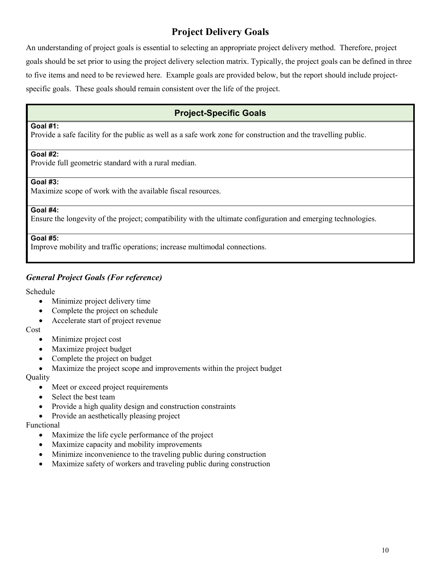# **Project Delivery Goals**

An understanding of project goals is essential to selecting an appropriate project delivery method. Therefore, project goals should be set prior to using the project delivery selection matrix. Typically, the project goals can be defined in three to five items and need to be reviewed here. Example goals are provided below, but the report should include projectspecific goals. These goals should remain consistent over the life of the project.

## **Project-Specific Goals**

### **Goal #1:**

Provide a safe facility for the public as well as a safe work zone for construction and the travelling public.

### **Goal #2:**

Provide full geometric standard with a rural median.

### **Goal #3:**

Maximize scope of work with the available fiscal resources.

### **Goal #4:**

Ensure the longevity of the project; compatibility with the ultimate configuration and emerging technologies.

### **Goal #5:**

Improve mobility and traffic operations; increase multimodal connections.

### *General Project Goals (For reference)*

### Schedule

- Minimize project delivery time
- Complete the project on schedule
- Accelerate start of project revenue

Cost

- Minimize project cost
- Maximize project budget
- Complete the project on budget
- Maximize the project scope and improvements within the project budget

### Quality

- Meet or exceed project requirements
- Select the best team
- Provide a high quality design and construction constraints
- Provide an aesthetically pleasing project

### Functional

- Maximize the life cycle performance of the project
- Maximize capacity and mobility improvements
- Minimize inconvenience to the traveling public during construction
- Maximize safety of workers and traveling public during construction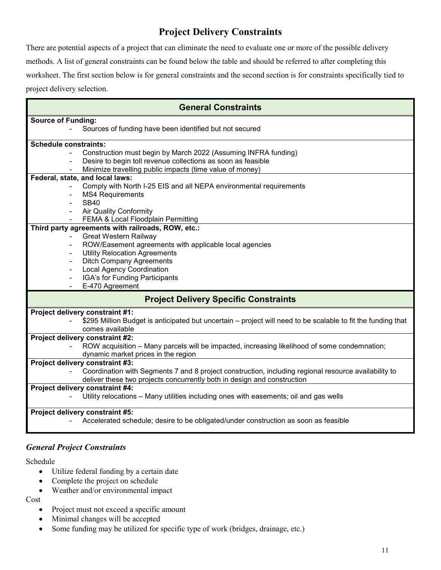# **Project Delivery Constraints**

There are potential aspects of a project that can eliminate the need to evaluate one or more of the possible delivery methods. A list of general constraints can be found below the table and should be referred to after completing this worksheet. The first section below is for general constraints and the second section is for constraints specifically tied to project delivery selection.

| <b>General Constraints</b>                                                                                                                                                      |
|---------------------------------------------------------------------------------------------------------------------------------------------------------------------------------|
| <b>Source of Funding:</b><br>Sources of funding have been identified but not secured                                                                                            |
| <b>Schedule constraints:</b>                                                                                                                                                    |
| Construction must begin by March 2022 (Assuming INFRA funding)                                                                                                                  |
| Desire to begin toll revenue collections as soon as feasible<br>Minimize travelling public impacts (time value of money)                                                        |
| Federal, state, and local laws:                                                                                                                                                 |
| Comply with North I-25 EIS and all NEPA environmental requirements<br><b>MS4 Requirements</b>                                                                                   |
| <b>SB40</b>                                                                                                                                                                     |
| <b>Air Quality Conformity</b><br>FEMA & Local Floodplain Permitting                                                                                                             |
| Third party agreements with railroads, ROW, etc.:                                                                                                                               |
| <b>Great Western Railway</b><br>ROW/Easement agreements with applicable local agencies                                                                                          |
| <b>Utility Relocation Agreements</b>                                                                                                                                            |
| <b>Ditch Company Agreements</b>                                                                                                                                                 |
| <b>Local Agency Coordination</b>                                                                                                                                                |
| IGA's for Funding Participants                                                                                                                                                  |
| E-470 Agreement                                                                                                                                                                 |
| <b>Project Delivery Specific Constraints</b>                                                                                                                                    |
| Project delivery constraint #1:<br>\$295 Million Budget is anticipated but uncertain – project will need to be scalable to fit the funding that<br>comes available              |
| Project delivery constraint #2:                                                                                                                                                 |
| ROW acquisition - Many parcels will be impacted, increasing likelihood of some condemnation;<br>dynamic market prices in the region                                             |
| Project delivery constraint #3:                                                                                                                                                 |
| Coordination with Segments 7 and 8 project construction, including regional resource availability to<br>deliver these two projects concurrently both in design and construction |
| Project delivery constraint #4:                                                                                                                                                 |
| Utility relocations - Many utilities including ones with easements; oil and gas wells                                                                                           |
| Project delivery constraint #5:<br>Accelerated schedule; desire to be obligated/under construction as soon as feasible                                                          |

## *General Project Constraints*

Schedule

- Utilize federal funding by a certain date
- Complete the project on schedule
- Weather and/or environmental impact

Cost

- Project must not exceed a specific amount
- Minimal changes will be accepted
- Some funding may be utilized for specific type of work (bridges, drainage, etc.)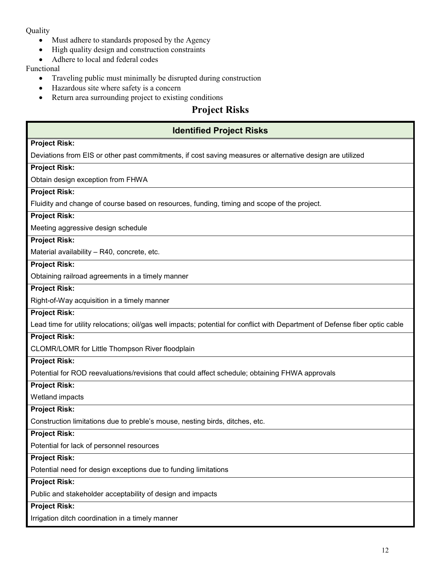### **Ouality**

- Must adhere to standards proposed by the Agency
- High quality design and construction constraints
- Adhere to local and federal codes

### Functional

- Traveling public must minimally be disrupted during construction
- Hazardous site where safety is a concern
- Return area surrounding project to existing conditions

# **Project Risks**

## **Identified Project Risks**

### **Project Risk:**

Deviations from EIS or other past commitments, if cost saving measures or alternative design are utilized

### **Project Risk:**

Obtain design exception from FHWA

### **Project Risk:**

Fluidity and change of course based on resources, funding, timing and scope of the project.

### **Project Risk:**

Meeting aggressive design schedule

### **Project Risk:**

Material availability – R40, concrete, etc.

### **Project Risk:**

Obtaining railroad agreements in a timely manner

### **Project Risk:**

Right-of-Way acquisition in a timely manner

### **Project Risk:**

Lead time for utility relocations; oil/gas well impacts; potential for conflict with Department of Defense fiber optic cable

### **Project Risk:**

CLOMR/LOMR for Little Thompson River floodplain

### **Project Risk:**

Potential for ROD reevaluations/revisions that could affect schedule; obtaining FHWA approvals

### **Project Risk:**

Wetland impacts

### **Project Risk:**

Construction limitations due to preble's mouse, nesting birds, ditches, etc.

### **Project Risk:**

Potential for lack of personnel resources

### **Project Risk:**

Potential need for design exceptions due to funding limitations

### **Project Risk:**

Public and stakeholder acceptability of design and impacts

### **Project Risk:**

Irrigation ditch coordination in a timely manner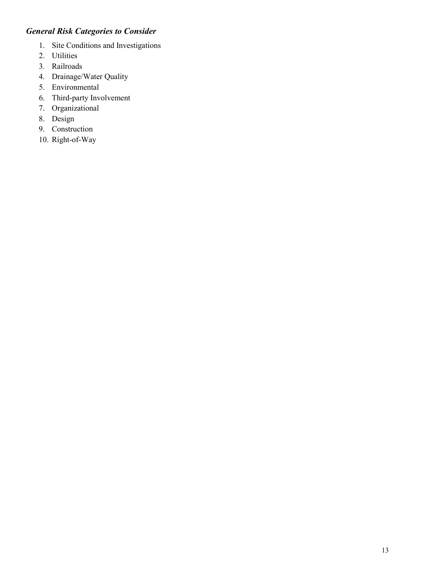## *General Risk Categories to Consider*

- 1. Site Conditions and Investigations
- 2. Utilities
- 3. Railroads
- 4. Drainage/Water Quality
- 5. Environmental
- 6. Third-party Involvement
- 7. Organizational
- 8. Design
- 9. Construction
- 10. Right-of-Way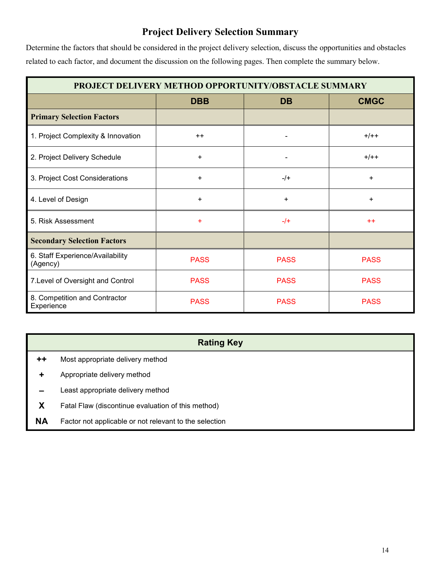# **Project Delivery Selection Summary**

Determine the factors that should be considered in the project delivery selection, discuss the opportunities and obstacles related to each factor, and document the discussion on the following pages. Then complete the summary below.

| PROJECT DELIVERY METHOD OPPORTUNITY/OBSTACLE SUMMARY |             |             |             |
|------------------------------------------------------|-------------|-------------|-------------|
|                                                      | <b>DBB</b>  | <b>DB</b>   | <b>CMGC</b> |
| <b>Primary Selection Factors</b>                     |             |             |             |
| 1. Project Complexity & Innovation                   | $++$        |             | $+/++$      |
| 2. Project Delivery Schedule                         | $\ddot{}$   |             | $+/++$      |
| 3. Project Cost Considerations                       | $\ddot{}$   | $-$ /+      | ÷.          |
| 4. Level of Design                                   | $\ddot{}$   | +           | +           |
| 5. Risk Assessment                                   | $\ddot{}$   | $-1$        | $++$        |
| <b>Secondary Selection Factors</b>                   |             |             |             |
| 6. Staff Experience/Availability<br>(Agency)         | <b>PASS</b> | <b>PASS</b> | <b>PASS</b> |
| 7. Level of Oversight and Control                    | <b>PASS</b> | <b>PASS</b> | <b>PASS</b> |
| 8. Competition and Contractor<br>Experience          | <b>PASS</b> | <b>PASS</b> | <b>PASS</b> |

## **Rating Key**

- **++** Most appropriate delivery method
- **+** Appropriate delivery method
- **–** Least appropriate delivery method
- **X** Fatal Flaw (discontinue evaluation of this method)
- **NA** Factor not applicable or not relevant to the selection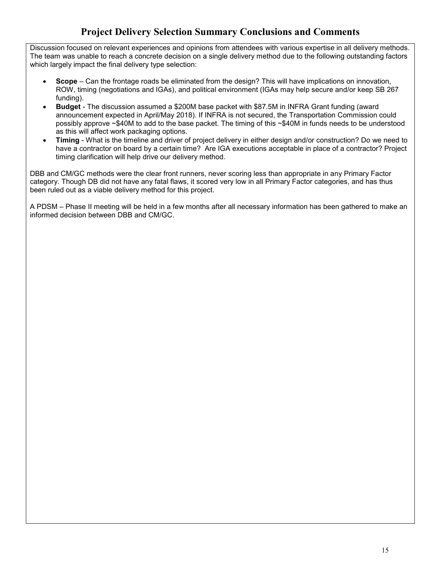# **Project Delivery Selection Summary Conclusions and Comments**

Discussion focused on relevant experiences and opinions from attendees with various expertise in all delivery methods. The team was unable to reach a concrete decision on a single delivery method due to the following outstanding factors which largely impact the final delivery type selection:

- **Scope** Can the frontage roads be eliminated from the design? This will have implications on innovation, ROW, timing (negotiations and IGAs), and political environment (IGAs may help secure and/or keep SB 267 funding).
- **Budget** The discussion assumed a \$200M base packet with \$87.5M in INFRA Grant funding (award announcement expected in April/May 2018). If INFRA is not secured, the Transportation Commission could possibly approve ~\$40M to add to the base packet. The timing of this ~\$40M in funds needs to be understood as this will affect work packaging options.
- **Timing**  What is the timeline and driver of project delivery in either design and/or construction? Do we need to have a contractor on board by a certain time? Are IGA executions acceptable in place of a contractor? Project timing clarification will help drive our delivery method.

DBB and CM/GC methods were the clear front runners, never scoring less than appropriate in any Primary Factor category. Though DB did not have any fatal flaws, it scored very low in all Primary Factor categories, and has thus been ruled out as a viable delivery method for this project.

A PDSM – Phase II meeting will be held in a few months after all necessary information has been gathered to make an informed decision between DBB and CM/GC.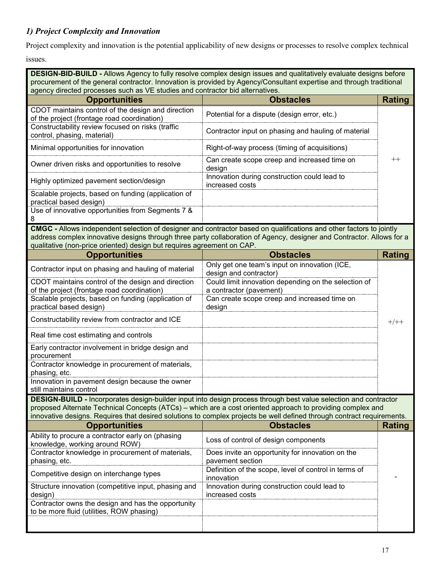## *1) Project Complexity and Innovation*

Project complexity and innovation is the potential applicability of new designs or processes to resolve complex technical

issues.

**DESIGN-BID-BUILD -** Allows Agency to fully resolve complex design issues and qualitatively evaluate designs before procurement of the general contractor. Innovation is provided by Agency/Consultant expertise and through traditional agency directed processes such as VE studies and contractor bid alternatives.

| <b>Opportunities</b>                                                                              | <b>Obstacles</b>                                                |  |
|---------------------------------------------------------------------------------------------------|-----------------------------------------------------------------|--|
| CDOT maintains control of the design and direction<br>of the project (frontage road coordination) | Potential for a dispute (design error, etc.)                    |  |
| Constructability review focused on risks (traffic<br>control, phasing, material)                  | Contractor input on phasing and hauling of material             |  |
| Minimal opportunities for innovation                                                              | Right-of-way process (timing of acquisitions)                   |  |
| Owner driven risks and opportunities to resolve                                                   | Can create scope creep and increased time on<br>design          |  |
| Highly optimized pavement section/design                                                          | Innovation during construction could lead to<br>increased costs |  |
| Scalable projects, based on funding (application of<br>practical based design)                    |                                                                 |  |
| Use of innovative opportunities from Segments 7 &                                                 |                                                                 |  |

**CMGC -** Allows independent selection of designer and contractor based on qualifications and other factors to jointly address complex innovative designs through three party collaboration of Agency, designer and Contractor. Allows for a qualitative (non-price oriented) design but requires agreement on CAP.

| <b>Opportunities</b>                                                                | <b>Obstacles</b>                                                                                                        | <b>Rating</b> |
|-------------------------------------------------------------------------------------|-------------------------------------------------------------------------------------------------------------------------|---------------|
| Contractor input on phasing and hauling of material                                 | Only get one team's input on innovation (ICE,<br>design and contractor)                                                 |               |
| CDOT maintains control of the design and direction                                  | Could limit innovation depending on the selection of                                                                    |               |
| of the project (frontage road coordination)                                         | a contractor (pavement)                                                                                                 |               |
| Scalable projects, based on funding (application of<br>practical based design)      | Can create scope creep and increased time on<br>design                                                                  |               |
| Constructability review from contractor and ICE                                     |                                                                                                                         | $+/++$        |
| Real time cost estimating and controls                                              |                                                                                                                         |               |
| Early contractor involvement in bridge design and<br>procurement                    |                                                                                                                         |               |
| Contractor knowledge in procurement of materials,<br>phasing, etc.                  |                                                                                                                         |               |
| Innovation in pavement design because the owner<br>still maintains control          |                                                                                                                         |               |
|                                                                                     | <b>DESIGN-BUILD - Incorporates design-builder input into design process through best value selection and contractor</b> |               |
|                                                                                     | proposed Alternate Technical Concepts (ATCs) – which are a cost oriented approach to providing complex and              |               |
|                                                                                     | innovative designs. Requires that desired solutions to complex projects be well defined through contract requirements.  |               |
| <b>Opportunities</b>                                                                | <b>Obstacles</b>                                                                                                        | Rating        |
| Ability to procure a contractor early on (phasing<br>knowledge, working around ROW) | Loss of control of design components                                                                                    |               |
| Contractor knowledge in procurement of materials,                                   | Does invite an opportunity for innovation on the                                                                        |               |
| phasing, etc.                                                                       | pavement section                                                                                                        |               |
| Competitive design on interchange types                                             | Definition of the scope, level of control in terms of<br>innovation                                                     |               |
| Structure innovation (competitive input, phasing and                                | Innovation during construction could lead to                                                                            |               |
| design)                                                                             | increased costs                                                                                                         |               |
| Contractor owns the design and has the opportunity                                  |                                                                                                                         |               |
| to be more fluid (utilities, ROW phasing)                                           |                                                                                                                         |               |
|                                                                                     |                                                                                                                         |               |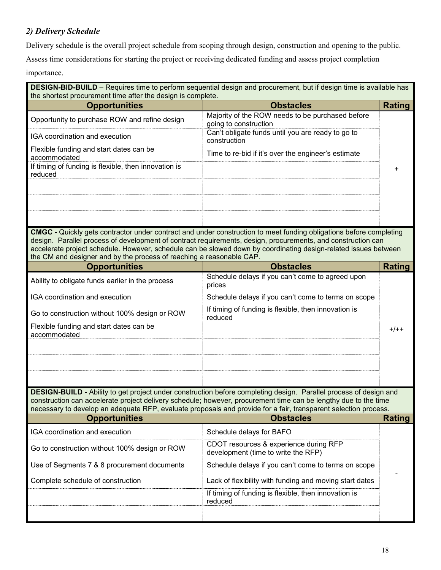## *2) Delivery Schedule*

Delivery schedule is the overall project schedule from scoping through design, construction and opening to the public.

Assess time considerations for starting the project or receiving dedicated funding and assess project completion

importance.

| DESIGN-BID-BUILD - Requires time to perform sequential design and procurement, but if design time is available has<br>the shortest procurement time after the design is complete.                                                                                                                                                                       |                                                                                                                                                                                                                                                                                                                                                              |               |  |  |
|---------------------------------------------------------------------------------------------------------------------------------------------------------------------------------------------------------------------------------------------------------------------------------------------------------------------------------------------------------|--------------------------------------------------------------------------------------------------------------------------------------------------------------------------------------------------------------------------------------------------------------------------------------------------------------------------------------------------------------|---------------|--|--|
| <b>Opportunities</b>                                                                                                                                                                                                                                                                                                                                    | <b>Obstacles</b>                                                                                                                                                                                                                                                                                                                                             | Rating        |  |  |
| Opportunity to purchase ROW and refine design                                                                                                                                                                                                                                                                                                           | Majority of the ROW needs to be purchased before<br>going to construction                                                                                                                                                                                                                                                                                    |               |  |  |
| IGA coordination and execution                                                                                                                                                                                                                                                                                                                          | Can't obligate funds until you are ready to go to<br>construction                                                                                                                                                                                                                                                                                            |               |  |  |
| Flexible funding and start dates can be<br>accommodated                                                                                                                                                                                                                                                                                                 | Time to re-bid if it's over the engineer's estimate                                                                                                                                                                                                                                                                                                          |               |  |  |
| If timing of funding is flexible, then innovation is<br>reduced                                                                                                                                                                                                                                                                                         |                                                                                                                                                                                                                                                                                                                                                              | +             |  |  |
| the CM and designer and by the process of reaching a reasonable CAP.                                                                                                                                                                                                                                                                                    | <b>CMGC</b> - Quickly gets contractor under contract and under construction to meet funding obligations before completing<br>design. Parallel process of development of contract requirements, design, procurements, and construction can<br>accelerate project schedule. However, schedule can be slowed down by coordinating design-related issues between |               |  |  |
| <b>Opportunities</b>                                                                                                                                                                                                                                                                                                                                    | <b>Obstacles</b>                                                                                                                                                                                                                                                                                                                                             | <b>Rating</b> |  |  |
| Ability to obligate funds earlier in the process                                                                                                                                                                                                                                                                                                        | Schedule delays if you can't come to agreed upon<br>prices                                                                                                                                                                                                                                                                                                   |               |  |  |
| IGA coordination and execution                                                                                                                                                                                                                                                                                                                          | Schedule delays if you can't come to terms on scope                                                                                                                                                                                                                                                                                                          |               |  |  |
| Go to construction without 100% design or ROW                                                                                                                                                                                                                                                                                                           | If timing of funding is flexible, then innovation is<br>reduced                                                                                                                                                                                                                                                                                              |               |  |  |
| Flexible funding and start dates can be<br>accommodated                                                                                                                                                                                                                                                                                                 |                                                                                                                                                                                                                                                                                                                                                              | $+/++$        |  |  |
|                                                                                                                                                                                                                                                                                                                                                         |                                                                                                                                                                                                                                                                                                                                                              |               |  |  |
| DESIGN-BUILD - Ability to get project under construction before completing design. Parallel process of design and<br>construction can accelerate project delivery schedule; however, procurement time can be lengthy due to the time<br>necessary to develop an adequate RFP, evaluate proposals and provide for a fair, transparent selection process. |                                                                                                                                                                                                                                                                                                                                                              |               |  |  |
| <b>Opportunities</b><br>IGA coordination and execution                                                                                                                                                                                                                                                                                                  | <b>Obstacles</b><br>Schedule delays for BAFO                                                                                                                                                                                                                                                                                                                 | <b>Rating</b> |  |  |
| Go to construction without 100% design or ROW                                                                                                                                                                                                                                                                                                           | CDOT resources & experience during RFP<br>development (time to write the RFP)                                                                                                                                                                                                                                                                                |               |  |  |
| Use of Segments 7 & 8 procurement documents                                                                                                                                                                                                                                                                                                             | Schedule delays if you can't come to terms on scope                                                                                                                                                                                                                                                                                                          |               |  |  |
| Complete schedule of construction                                                                                                                                                                                                                                                                                                                       | Lack of flexibility with funding and moving start dates                                                                                                                                                                                                                                                                                                      |               |  |  |
|                                                                                                                                                                                                                                                                                                                                                         | If timing of funding is flexible, then innovation is<br>reduced                                                                                                                                                                                                                                                                                              |               |  |  |
|                                                                                                                                                                                                                                                                                                                                                         |                                                                                                                                                                                                                                                                                                                                                              |               |  |  |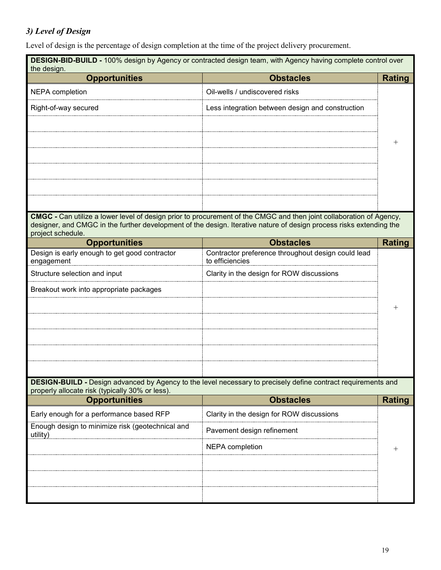# *3) Level of Design*

Level of design is the percentage of design completion at the time of the project delivery procurement.

| <b>DESIGN-BID-BUILD - 100%</b> design by Agency or contracted design team, with Agency having complete control over<br>the design. |                                                                                                                                                                                                                                                   |               |
|------------------------------------------------------------------------------------------------------------------------------------|---------------------------------------------------------------------------------------------------------------------------------------------------------------------------------------------------------------------------------------------------|---------------|
| <b>Opportunities</b>                                                                                                               | <b>Obstacles</b>                                                                                                                                                                                                                                  | <b>Rating</b> |
| <b>NEPA</b> completion                                                                                                             | Oil-wells / undiscovered risks                                                                                                                                                                                                                    |               |
| Right-of-way secured                                                                                                               | Less integration between design and construction                                                                                                                                                                                                  |               |
|                                                                                                                                    |                                                                                                                                                                                                                                                   |               |
|                                                                                                                                    |                                                                                                                                                                                                                                                   |               |
|                                                                                                                                    |                                                                                                                                                                                                                                                   |               |
| project schedule.                                                                                                                  | <b>CMGC</b> - Can utilize a lower level of design prior to procurement of the CMGC and then joint collaboration of Agency,<br>designer, and CMGC in the further development of the design. Iterative nature of design process risks extending the |               |
| <b>Opportunities</b>                                                                                                               | <b>Obstacles</b>                                                                                                                                                                                                                                  | <b>Rating</b> |
| Design is early enough to get good contractor<br>engagement                                                                        | Contractor preference throughout design could lead<br>to efficiencies                                                                                                                                                                             |               |
| Structure selection and input                                                                                                      | Clarity in the design for ROW discussions                                                                                                                                                                                                         |               |
| Breakout work into appropriate packages                                                                                            |                                                                                                                                                                                                                                                   |               |
|                                                                                                                                    |                                                                                                                                                                                                                                                   |               |
|                                                                                                                                    |                                                                                                                                                                                                                                                   |               |
|                                                                                                                                    |                                                                                                                                                                                                                                                   |               |
|                                                                                                                                    |                                                                                                                                                                                                                                                   |               |
|                                                                                                                                    |                                                                                                                                                                                                                                                   |               |
| properly allocate risk (typically 30% or less).                                                                                    | <b>DESIGN-BUILD -</b> Design advanced by Agency to the level necessary to precisely define contract requirements and                                                                                                                              |               |
| <b>Opportunities</b>                                                                                                               | <b>Obstacles</b>                                                                                                                                                                                                                                  | <b>Rating</b> |
| Early enough for a performance based RFP                                                                                           | Clarity in the design for ROW discussions                                                                                                                                                                                                         |               |
| Enough design to minimize risk (geotechnical and<br>utility)                                                                       | Pavement design refinement                                                                                                                                                                                                                        |               |
|                                                                                                                                    | <b>NEPA</b> completion                                                                                                                                                                                                                            |               |
|                                                                                                                                    |                                                                                                                                                                                                                                                   |               |
|                                                                                                                                    |                                                                                                                                                                                                                                                   |               |
|                                                                                                                                    |                                                                                                                                                                                                                                                   |               |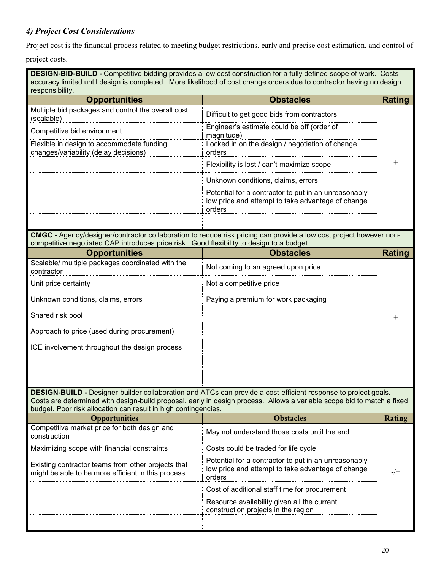## *4) Project Cost Considerations*

Project cost is the financial process related to meeting budget restrictions, early and precise cost estimation, and control of

project costs.

**DESIGN-BID-BUILD -** Competitive bidding provides a low cost construction for a fully defined scope of work. Costs accuracy limited until design is completed. More likelihood of cost change orders due to contractor having no design responsibility.

| <b>Opportunities</b>                                                               | <b>Obstacles</b>                                                                                                    |  |
|------------------------------------------------------------------------------------|---------------------------------------------------------------------------------------------------------------------|--|
| Multiple bid packages and control the overall cost<br>(scalable)                   | Difficult to get good bids from contractors                                                                         |  |
| Competitive bid environment                                                        | Engineer's estimate could be off (order of<br>magnitude)                                                            |  |
| Flexible in design to accommodate funding<br>changes/variability (delay decisions) | Locked in on the design / negotiation of change<br>orders                                                           |  |
|                                                                                    | Flexibility is lost / can't maximize scope                                                                          |  |
|                                                                                    | Unknown conditions, claims, errors                                                                                  |  |
|                                                                                    | Potential for a contractor to put in an unreasonably<br>low price and attempt to take advantage of change<br>orders |  |
|                                                                                    |                                                                                                                     |  |

**CMGC -** Agency/designer/contractor collaboration to reduce risk pricing can provide a low cost project however noncompetitive negotiated CAP introduces price risk. Good flexibility to design to a budget.

| <b>Opportunities</b>                                           | <b>Obstacles</b>                    |  |
|----------------------------------------------------------------|-------------------------------------|--|
| Scalable/ multiple packages coordinated with the<br>contractor | Not coming to an agreed upon price  |  |
| Unit price certainty                                           | Not a competitive price             |  |
| Unknown conditions, claims, errors                             | Paying a premium for work packaging |  |
| Shared risk pool                                               |                                     |  |
| Approach to price (used during procurement)                    |                                     |  |
| ICE involvement throughout the design process                  |                                     |  |
|                                                                |                                     |  |
|                                                                |                                     |  |

**DESIGN-BUILD -** Designer-builder collaboration and ATCs can provide a cost-efficient response to project goals. Costs are determined with design-build proposal, early in design process. Allows a variable scope bid to match a fixed budget. Poor risk allocation can result in high contingencies.

| <b>Opportunities</b>                                                                                     | <b>Obstacles</b>                                                                                                    |  |
|----------------------------------------------------------------------------------------------------------|---------------------------------------------------------------------------------------------------------------------|--|
| Competitive market price for both design and<br>construction                                             | May not understand those costs until the end                                                                        |  |
| Maximizing scope with financial constraints                                                              | Costs could be traded for life cycle                                                                                |  |
| Existing contractor teams from other projects that<br>might be able to be more efficient in this process | Potential for a contractor to put in an unreasonably<br>low price and attempt to take advantage of change<br>orders |  |
|                                                                                                          | Cost of additional staff time for procurement                                                                       |  |
|                                                                                                          | Resource availability given all the current<br>construction projects in the region                                  |  |
|                                                                                                          |                                                                                                                     |  |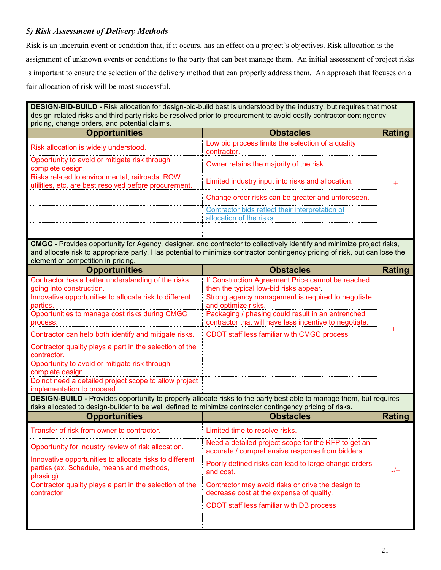## *5) Risk Assessment of Delivery Methods*

Risk is an uncertain event or condition that, if it occurs, has an effect on a project's objectives. Risk allocation is the assignment of unknown events or conditions to the party that can best manage them. An initial assessment of project risks is important to ensure the selection of the delivery method that can properly address them. An approach that focuses on a fair allocation of risk will be most successful.

**DESIGN-BID-BUILD -** Risk allocation for design-bid-build best is understood by the industry, but requires that most design-related risks and third party risks be resolved prior to procurement to avoid costly contractor contingency pricing, change orders, and potential claims.

| <b>Opportunities</b>                                                                                     | <b>Obstacles</b>                                  |  |
|----------------------------------------------------------------------------------------------------------|---------------------------------------------------|--|
| Risk allocation is widely understood.                                                                    | Low bid process limits the selection of a quality |  |
| Opportunity to avoid or mitigate risk through<br>complete design.                                        | Owner retains the majority of the risk.           |  |
| Risks related to environmental, railroads, ROW,<br>utilities, etc. are best resolved before procurement. | Limited industry input into risks and allocation. |  |
|                                                                                                          | Change order risks can be greater and unforeseen. |  |
|                                                                                                          | Contractor bids reflect their interpretation of   |  |
|                                                                                                          | location of the risks                             |  |
|                                                                                                          |                                                   |  |

**CMGC -** Provides opportunity for Agency, designer, and contractor to collectively identify and minimize project risks, and allocate risk to appropriate party. Has potential to minimize contractor contingency pricing of risk, but can lose the element of competition in pricing.

| <b>Opportunities</b>                                                                                                              | <b>Obstacles</b>                                                                                                          | Rating  |
|-----------------------------------------------------------------------------------------------------------------------------------|---------------------------------------------------------------------------------------------------------------------------|---------|
| Contractor has a better understanding of the risks<br>going into construction.                                                    | If Construction Agreement Price cannot be reached,<br>then the typical low-bid risks appear.                              |         |
| Innovative opportunities to allocate risk to different<br>parties.                                                                | Strong agency management is required to negotiate<br>and optimize risks.                                                  |         |
| Opportunities to manage cost risks during CMGC<br>process.                                                                        | Packaging / phasing could result in an entrenched<br>contractor that will have less incentive to negotiate.               |         |
| Contractor can help both identify and mitigate risks.                                                                             | CDOT staff less familiar with CMGC process                                                                                | $^{++}$ |
| Contractor quality plays a part in the selection of the<br>contractor.                                                            |                                                                                                                           |         |
| Opportunity to avoid or mitigate risk through<br>complete design.                                                                 |                                                                                                                           |         |
| Do not need a detailed project scope to allow project<br>implementation to proceed.                                               |                                                                                                                           |         |
|                                                                                                                                   |                                                                                                                           |         |
|                                                                                                                                   | <b>DESIGN-BUILD -</b> Provides opportunity to properly allocate risks to the party best able to manage them, but requires |         |
| risks allocated to design-builder to be well defined to minimize contractor contingency pricing of risks.<br><b>Opportunities</b> | <b>Obstacles</b>                                                                                                          | Rating  |
| Transfer of risk from owner to contractor.                                                                                        | Limited time to resolve risks.                                                                                            |         |
| Opportunity for industry review of risk allocation.                                                                               | Need a detailed project scope for the RFP to get an<br>accurate / comprehensive response from bidders.                    |         |
| Innovative opportunities to allocate risks to different<br>parties (ex. Schedule, means and methods,<br>phasing).                 | Poorly defined risks can lead to large change orders<br>and cost.                                                         | $-$ /+  |
| Contractor quality plays a part in the selection of the<br>contractor                                                             | Contractor may avoid risks or drive the design to<br>decrease cost at the expense of quality.                             |         |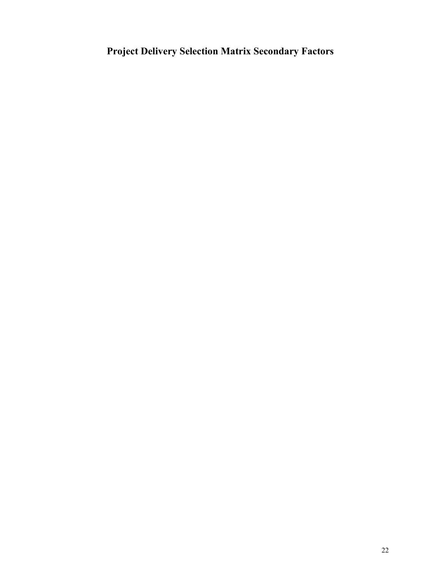# **Project Delivery Selection Matrix Secondary Factors**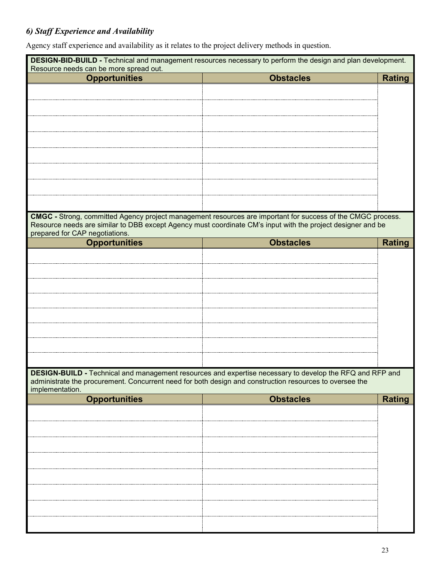# *6) Staff Experience and Availability*

Agency staff experience and availability as it relates to the project delivery methods in question.

|                                                                                                         | DESIGN-BID-BUILD - Technical and management resources necessary to perform the design and plan development. |               |
|---------------------------------------------------------------------------------------------------------|-------------------------------------------------------------------------------------------------------------|---------------|
| Resource needs can be more spread out.<br><b>Opportunities</b>                                          | <b>Obstacles</b>                                                                                            | <b>Rating</b> |
|                                                                                                         |                                                                                                             |               |
|                                                                                                         |                                                                                                             |               |
|                                                                                                         |                                                                                                             |               |
|                                                                                                         |                                                                                                             |               |
|                                                                                                         |                                                                                                             |               |
|                                                                                                         |                                                                                                             |               |
|                                                                                                         |                                                                                                             |               |
|                                                                                                         |                                                                                                             |               |
|                                                                                                         |                                                                                                             |               |
|                                                                                                         |                                                                                                             |               |
|                                                                                                         | CMGC - Strong, committed Agency project management resources are important for success of the CMGC process. |               |
|                                                                                                         | Resource needs are similar to DBB except Agency must coordinate CM's input with the project designer and be |               |
| prepared for CAP negotiations.<br><b>Opportunities</b>                                                  | <b>Obstacles</b>                                                                                            | <b>Rating</b> |
|                                                                                                         |                                                                                                             |               |
|                                                                                                         |                                                                                                             |               |
|                                                                                                         |                                                                                                             |               |
|                                                                                                         |                                                                                                             |               |
|                                                                                                         |                                                                                                             |               |
|                                                                                                         |                                                                                                             |               |
|                                                                                                         |                                                                                                             |               |
|                                                                                                         |                                                                                                             |               |
|                                                                                                         |                                                                                                             |               |
|                                                                                                         |                                                                                                             |               |
| administrate the procurement. Concurrent need for both design and construction resources to oversee the | DESIGN-BUILD - Technical and management resources and expertise necessary to develop the RFQ and RFP and    |               |
| implementation.                                                                                         |                                                                                                             |               |
| <b>Opportunities</b>                                                                                    | <b>Obstacles</b>                                                                                            | <b>Rating</b> |
|                                                                                                         |                                                                                                             |               |
|                                                                                                         |                                                                                                             |               |
|                                                                                                         |                                                                                                             |               |
|                                                                                                         |                                                                                                             |               |
|                                                                                                         |                                                                                                             |               |
|                                                                                                         |                                                                                                             |               |
|                                                                                                         |                                                                                                             |               |
|                                                                                                         |                                                                                                             |               |
|                                                                                                         |                                                                                                             |               |
|                                                                                                         |                                                                                                             |               |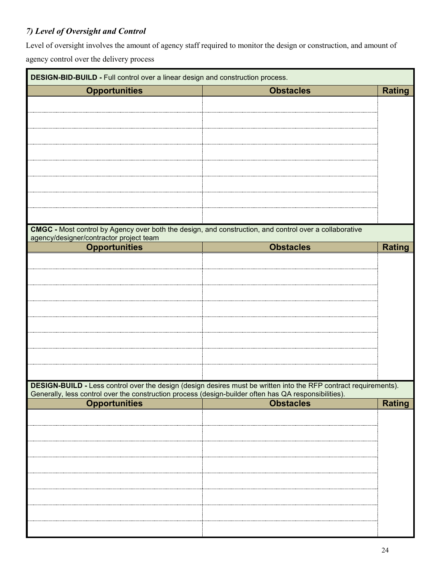# *7) Level of Oversight and Control*

Level of oversight involves the amount of agency staff required to monitor the design or construction, and amount of agency control over the delivery process

| DESIGN-BID-BUILD - Full control over a linear design and construction process.                                                |                                                                                                                  |               |
|-------------------------------------------------------------------------------------------------------------------------------|------------------------------------------------------------------------------------------------------------------|---------------|
| <b>Opportunities</b>                                                                                                          | <b>Obstacles</b>                                                                                                 | <b>Rating</b> |
|                                                                                                                               |                                                                                                                  |               |
|                                                                                                                               |                                                                                                                  |               |
|                                                                                                                               |                                                                                                                  |               |
|                                                                                                                               |                                                                                                                  |               |
|                                                                                                                               |                                                                                                                  |               |
|                                                                                                                               |                                                                                                                  |               |
|                                                                                                                               |                                                                                                                  |               |
|                                                                                                                               |                                                                                                                  |               |
|                                                                                                                               |                                                                                                                  |               |
| CMGC - Most control by Agency over both the design, and construction, and control over a collaborative                        |                                                                                                                  |               |
| agency/designer/contractor project team<br><b>Opportunities</b>                                                               | <b>Obstacles</b>                                                                                                 | <b>Rating</b> |
|                                                                                                                               |                                                                                                                  |               |
|                                                                                                                               |                                                                                                                  |               |
|                                                                                                                               |                                                                                                                  |               |
|                                                                                                                               |                                                                                                                  |               |
|                                                                                                                               |                                                                                                                  |               |
|                                                                                                                               |                                                                                                                  |               |
|                                                                                                                               |                                                                                                                  |               |
|                                                                                                                               |                                                                                                                  |               |
|                                                                                                                               |                                                                                                                  |               |
|                                                                                                                               | DESIGN-BUILD - Less control over the design (design desires must be written into the RFP contract requirements). |               |
| Generally, less control over the construction process (design-builder often has QA responsibilities).<br><b>Opportunities</b> | <b>Obstacles</b>                                                                                                 | <b>Rating</b> |
|                                                                                                                               |                                                                                                                  |               |
|                                                                                                                               |                                                                                                                  |               |
|                                                                                                                               |                                                                                                                  |               |
|                                                                                                                               |                                                                                                                  |               |
|                                                                                                                               |                                                                                                                  |               |
|                                                                                                                               |                                                                                                                  |               |
|                                                                                                                               |                                                                                                                  |               |
|                                                                                                                               |                                                                                                                  |               |
|                                                                                                                               |                                                                                                                  |               |
|                                                                                                                               |                                                                                                                  |               |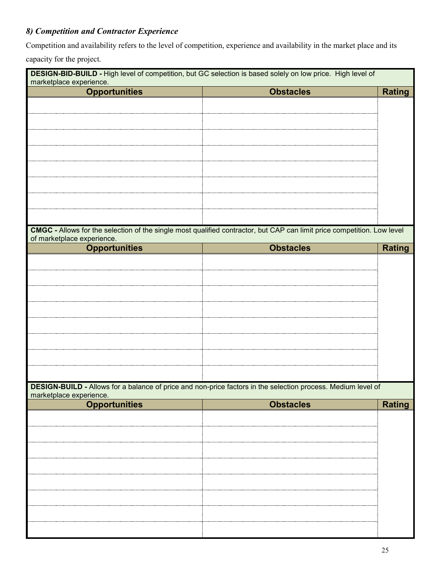# *8) Competition and Contractor Experience*

Competition and availability refers to the level of competition, experience and availability in the market place and its

capacity for the project.

| DESIGN-BID-BUILD - High level of competition, but GC selection is based solely on low price. High level of<br>marketplace experience. |                                                                                                                         |               |
|---------------------------------------------------------------------------------------------------------------------------------------|-------------------------------------------------------------------------------------------------------------------------|---------------|
| <b>Opportunities</b>                                                                                                                  | <b>Obstacles</b>                                                                                                        | <b>Rating</b> |
|                                                                                                                                       |                                                                                                                         |               |
|                                                                                                                                       |                                                                                                                         |               |
|                                                                                                                                       |                                                                                                                         |               |
|                                                                                                                                       |                                                                                                                         |               |
|                                                                                                                                       |                                                                                                                         |               |
|                                                                                                                                       |                                                                                                                         |               |
|                                                                                                                                       |                                                                                                                         |               |
|                                                                                                                                       |                                                                                                                         |               |
|                                                                                                                                       |                                                                                                                         |               |
|                                                                                                                                       |                                                                                                                         |               |
|                                                                                                                                       | CMGC - Allows for the selection of the single most qualified contractor, but CAP can limit price competition. Low level |               |
| of marketplace experience.                                                                                                            |                                                                                                                         |               |
| <b>Opportunities</b>                                                                                                                  | <b>Obstacles</b>                                                                                                        | <b>Rating</b> |
|                                                                                                                                       |                                                                                                                         |               |
|                                                                                                                                       |                                                                                                                         |               |
|                                                                                                                                       |                                                                                                                         |               |
|                                                                                                                                       |                                                                                                                         |               |
|                                                                                                                                       |                                                                                                                         |               |
|                                                                                                                                       |                                                                                                                         |               |
|                                                                                                                                       |                                                                                                                         |               |
|                                                                                                                                       |                                                                                                                         |               |
|                                                                                                                                       |                                                                                                                         |               |
|                                                                                                                                       |                                                                                                                         |               |
|                                                                                                                                       | DESIGN-BUILD - Allows for a balance of price and non-price factors in the selection process. Medium level of            |               |
| marketplace experience.<br><b>Opportunities</b>                                                                                       | <b>Obstacles</b>                                                                                                        | <b>Rating</b> |
|                                                                                                                                       |                                                                                                                         |               |
|                                                                                                                                       |                                                                                                                         |               |
|                                                                                                                                       |                                                                                                                         |               |
|                                                                                                                                       |                                                                                                                         |               |
|                                                                                                                                       |                                                                                                                         |               |
|                                                                                                                                       |                                                                                                                         |               |
|                                                                                                                                       |                                                                                                                         |               |
|                                                                                                                                       |                                                                                                                         |               |
|                                                                                                                                       |                                                                                                                         |               |
|                                                                                                                                       |                                                                                                                         |               |
|                                                                                                                                       |                                                                                                                         |               |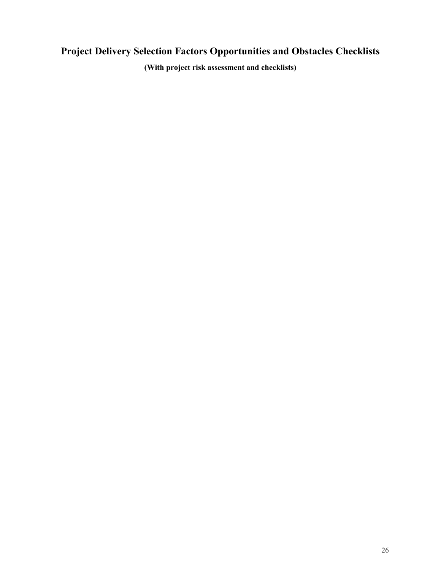# **Project Delivery Selection Factors Opportunities and Obstacles Checklists**

**(With project risk assessment and checklists)**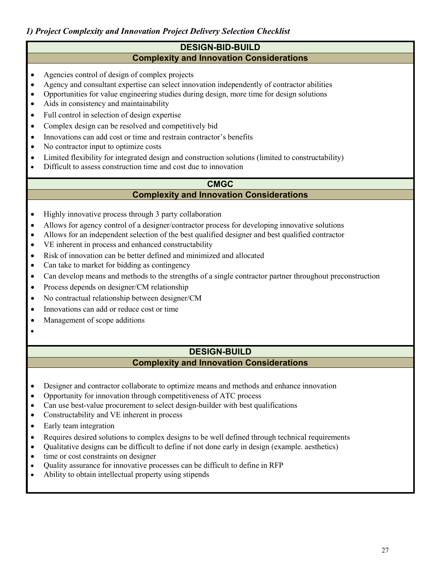### **DESIGN-BID-BUILD Complexity and Innovation Considerations**

- Agencies control of design of complex projects
- Agency and consultant expertise can select innovation independently of contractor abilities
- Opportunities for value engineering studies during design, more time for design solutions
- Aids in consistency and maintainability
- Full control in selection of design expertise
- Complex design can be resolved and competitively bid
- Innovations can add cost or time and restrain contractor's benefits
- No contractor input to optimize costs
- Limited flexibility for integrated design and construction solutions (limited to constructability)
- Difficult to assess construction time and cost due to innovation

### **CMGC Complexity and Innovation Considerations**

- Highly innovative process through 3 party collaboration
- Allows for agency control of a designer/contractor process for developing innovative solutions
- Allows for an independent selection of the best qualified designer and best qualified contractor
- VE inherent in process and enhanced constructability
- Risk of innovation can be better defined and minimized and allocated
- Can take to market for bidding as contingency
- Can develop means and methods to the strengths of a single contractor partner throughout preconstruction
- Process depends on designer/CM relationship
- No contractual relationship between designer/CM
- Innovations can add or reduce cost or time
- Management of scope additions
- •

## **DESIGN-BUILD Complexity and Innovation Considerations**

- Designer and contractor collaborate to optimize means and methods and enhance innovation
- Opportunity for innovation through competitiveness of ATC process
- Can use best-value procurement to select design-builder with best qualifications
- Constructability and VE inherent in process
- Early team integration
- Requires desired solutions to complex designs to be well defined through technical requirements
- Qualitative designs can be difficult to define if not done early in design (example. aesthetics)
- time or cost constraints on designer
- Quality assurance for innovative processes can be difficult to define in RFP
- Ability to obtain intellectual property using stipends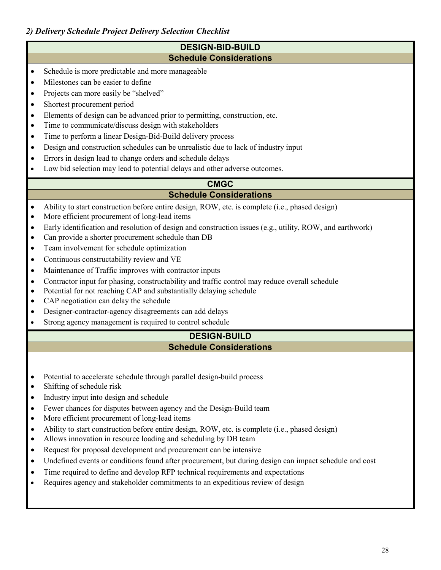## *2) Delivery Schedule Project Delivery Selection Checklist*

### **DESIGN-BID-BUILD Schedule Considerations**

- Schedule is more predictable and more manageable
- Milestones can be easier to define
- Projects can more easily be "shelved"
- Shortest procurement period
- Elements of design can be advanced prior to permitting, construction, etc.
- Time to communicate/discuss design with stakeholders
- Time to perform a linear Design-Bid-Build delivery process
- Design and construction schedules can be unrealistic due to lack of industry input
- Errors in design lead to change orders and schedule delays
- Low bid selection may lead to potential delays and other adverse outcomes.

### **CMGC Schedule Considerations**

- Ability to start construction before entire design, ROW, etc. is complete (i.e., phased design)
- More efficient procurement of long-lead items
- Early identification and resolution of design and construction issues (e.g., utility, ROW, and earthwork)
- Can provide a shorter procurement schedule than DB
- Team involvement for schedule optimization
- Continuous constructability review and VE
- Maintenance of Traffic improves with contractor inputs
- Contractor input for phasing, constructability and traffic control may reduce overall schedule
- Potential for not reaching CAP and substantially delaying schedule
- CAP negotiation can delay the schedule
- Designer-contractor-agency disagreements can add delays
- Strong agency management is required to control schedule

## **DESIGN-BUILD Schedule Considerations**

- Potential to accelerate schedule through parallel design-build process
- Shifting of schedule risk
- Industry input into design and schedule
- Fewer chances for disputes between agency and the Design-Build team
- More efficient procurement of long-lead items
- Ability to start construction before entire design, ROW, etc. is complete (i.e., phased design)
- Allows innovation in resource loading and scheduling by DB team
- Request for proposal development and procurement can be intensive
- Undefined events or conditions found after procurement, but during design can impact schedule and cost
- Time required to define and develop RFP technical requirements and expectations
- Requires agency and stakeholder commitments to an expeditious review of design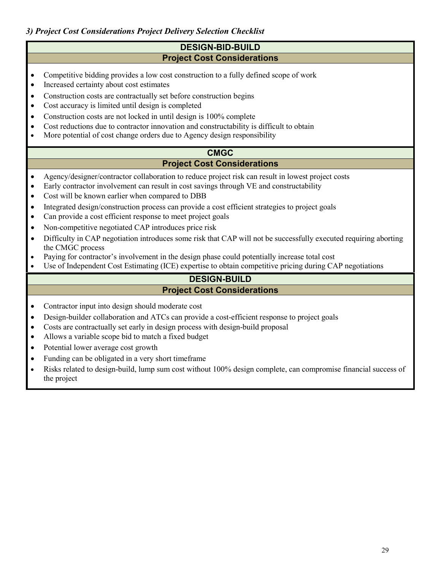## *3) Project Cost Considerations Project Delivery Selection Checklist*

### **DESIGN-BID-BUILD Project Cost Considerations**

- Competitive bidding provides a low cost construction to a fully defined scope of work
- Increased certainty about cost estimates
- Construction costs are contractually set before construction begins
- Cost accuracy is limited until design is completed
- Construction costs are not locked in until design is 100% complete
- Cost reductions due to contractor innovation and constructability is difficult to obtain
- More potential of cost change orders due to Agency design responsibility

### **CMGC Project Cost Considerations**

- Agency/designer/contractor collaboration to reduce project risk can result in lowest project costs
- Early contractor involvement can result in cost savings through VE and constructability
- Cost will be known earlier when compared to DBB
- Integrated design/construction process can provide a cost efficient strategies to project goals
- Can provide a cost efficient response to meet project goals
- Non-competitive negotiated CAP introduces price risk
- Difficulty in CAP negotiation introduces some risk that CAP will not be successfully executed requiring aborting the CMGC process
- Paying for contractor's involvement in the design phase could potentially increase total cost
- Use of Independent Cost Estimating (ICE) expertise to obtain competitive pricing during CAP negotiations

## **DESIGN-BUILD Project Cost Considerations**

- Contractor input into design should moderate cost
- Design-builder collaboration and ATCs can provide a cost-efficient response to project goals
- Costs are contractually set early in design process with design-build proposal
- Allows a variable scope bid to match a fixed budget
- Potential lower average cost growth
- Funding can be obligated in a very short timeframe
- Risks related to design-build, lump sum cost without 100% design complete, can compromise financial success of the project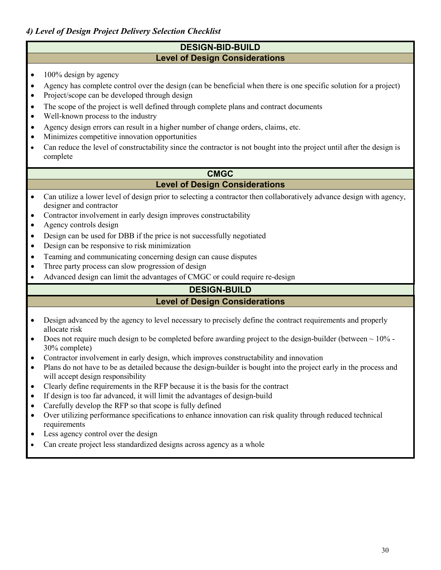## *4) Level of Design Project Delivery Selection Checklist*

## **DESIGN-BID-BUILD Level of Design Considerations**

- $\bullet$  100% design by agency
- Agency has complete control over the design (can be beneficial when there is one specific solution for a project)
- Project/scope can be developed through design
- The scope of the project is well defined through complete plans and contract documents
- Well-known process to the industry
- Agency design errors can result in a higher number of change orders, claims, etc.
- Minimizes competitive innovation opportunities
- Can reduce the level of constructability since the contractor is not bought into the project until after the design is complete

## **CMGC Level of Design Considerations**

- Can utilize a lower level of design prior to selecting a contractor then collaboratively advance design with agency, designer and contractor
- Contractor involvement in early design improves constructability
- Agency controls design
- Design can be used for DBB if the price is not successfully negotiated
- Design can be responsive to risk minimization
- Teaming and communicating concerning design can cause disputes
- Three party process can slow progression of design
- Advanced design can limit the advantages of CMGC or could require re-design

## **DESIGN-BUILD**

## **Level of Design Considerations**

- Design advanced by the agency to level necessary to precisely define the contract requirements and properly allocate risk
- Does not require much design to be completed before awarding project to the design-builder (between  $\sim 10\%$  -30% complete)
- Contractor involvement in early design, which improves constructability and innovation
- Plans do not have to be as detailed because the design-builder is bought into the project early in the process and will accept design responsibility
- Clearly define requirements in the RFP because it is the basis for the contract
- If design is too far advanced, it will limit the advantages of design-build
- Carefully develop the RFP so that scope is fully defined
- Over utilizing performance specifications to enhance innovation can risk quality through reduced technical requirements
- Less agency control over the design
- Can create project less standardized designs across agency as a whole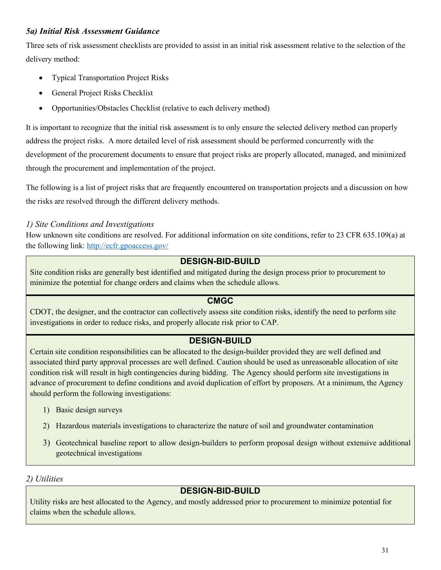## *5a) Initial Risk Assessment Guidance*

Three sets of risk assessment checklists are provided to assist in an initial risk assessment relative to the selection of the delivery method:

- Typical Transportation Project Risks
- General Project Risks Checklist
- Opportunities/Obstacles Checklist (relative to each delivery method)

It is important to recognize that the initial risk assessment is to only ensure the selected delivery method can properly address the project risks. A more detailed level of risk assessment should be performed concurrently with the development of the procurement documents to ensure that project risks are properly allocated, managed, and minimized through the procurement and implementation of the project.

The following is a list of project risks that are frequently encountered on transportation projects and a discussion on how the risks are resolved through the different delivery methods.

## *1) Site Conditions and Investigations*

How unknown site conditions are resolved. For additional information on site conditions, refer to 23 CFR 635.109(a) at the following link: [http://ecfr.gpoaccess.gov/](http://ecfr.gpoaccess.gov/cgi/t/text/text-idx?c=ecfr&sid=91468e48c87a547c3497a5c19d640172&rgn=div5&view=text&node=23:1.0.1.7.23&idno=23#23:1.0.1.7.23.1.1.9) 

## **DESIGN-BID-BUILD**

Site condition risks are generally best identified and mitigated during the design process prior to procurement to minimize the potential for change orders and claims when the schedule allows.

## **CMGC**

CDOT, the designer, and the contractor can collectively assess site condition risks, identify the need to perform site investigations in order to reduce risks, and properly allocate risk prior to CAP.

## **DESIGN-BUILD**

Certain site condition responsibilities can be allocated to the design-builder provided they are well defined and associated third party approval processes are well defined. Caution should be used as unreasonable allocation of site condition risk will result in high contingencies during bidding. The Agency should perform site investigations in advance of procurement to define conditions and avoid duplication of effort by proposers. At a minimum, the Agency should perform the following investigations:

- 1) Basic design surveys
- 2) Hazardous materials investigations to characterize the nature of soil and groundwater contamination
- 3) Geotechnical baseline report to allow design-builders to perform proposal design without extensive additional geotechnical investigations

## *2) Utilities*

## **DESIGN-BID-BUILD**

Utility risks are best allocated to the Agency, and mostly addressed prior to procurement to minimize potential for claims when the schedule allows.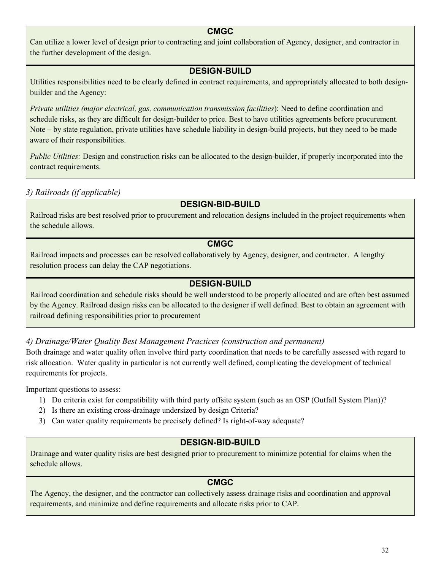## **CMGC**

Can utilize a lower level of design prior to contracting and joint collaboration of Agency, designer, and contractor in the further development of the design.

## **DESIGN-BUILD**

Utilities responsibilities need to be clearly defined in contract requirements, and appropriately allocated to both designbuilder and the Agency:

*Private utilities (major electrical, gas, communication transmission facilities*): Need to define coordination and schedule risks, as they are difficult for design-builder to price. Best to have utilities agreements before procurement. Note – by state regulation, private utilities have schedule liability in design-build projects, but they need to be made aware of their responsibilities.

*Public Utilities:* Design and construction risks can be allocated to the design-builder, if properly incorporated into the contract requirements.

*3) Railroads (if applicable)*

# **DESIGN-BID-BUILD**

Railroad risks are best resolved prior to procurement and relocation designs included in the project requirements when the schedule allows.

## **CMGC**

Railroad impacts and processes can be resolved collaboratively by Agency, designer, and contractor. A lengthy resolution process can delay the CAP negotiations.

## **DESIGN-BUILD**

Railroad coordination and schedule risks should be well understood to be properly allocated and are often best assumed by the Agency. Railroad design risks can be allocated to the designer if well defined. Best to obtain an agreement with railroad defining responsibilities prior to procurement

*4) Drainage/Water Quality Best Management Practices (construction and permanent)*

Both drainage and water quality often involve third party coordination that needs to be carefully assessed with regard to risk allocation. Water quality in particular is not currently well defined, complicating the development of technical requirements for projects.

Important questions to assess:

- 1) Do criteria exist for compatibility with third party offsite system (such as an OSP (Outfall System Plan))?
- 2) Is there an existing cross-drainage undersized by design Criteria?
- 3) Can water quality requirements be precisely defined? Is right-of-way adequate?

## **DESIGN-BID-BUILD**

Drainage and water quality risks are best designed prior to procurement to minimize potential for claims when the schedule allows.

## **CMGC**

The Agency, the designer, and the contractor can collectively assess drainage risks and coordination and approval requirements, and minimize and define requirements and allocate risks prior to CAP.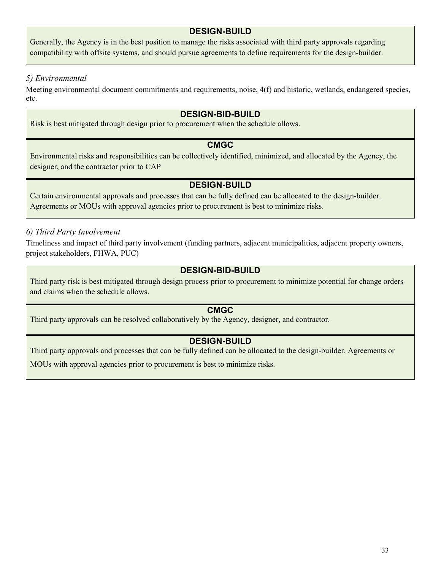## **DESIGN-BUILD**

Generally, the Agency is in the best position to manage the risks associated with third party approvals regarding compatibility with offsite systems, and should pursue agreements to define requirements for the design-builder.

## *5) Environmental*

Meeting environmental document commitments and requirements, noise, 4(f) and historic, wetlands, endangered species, etc.

### **DESIGN-BID-BUILD**

Risk is best mitigated through design prior to procurement when the schedule allows.

## **CMGC**

Environmental risks and responsibilities can be collectively identified, minimized, and allocated by the Agency, the designer, and the contractor prior to CAP

## **DESIGN-BUILD**

Certain environmental approvals and processes that can be fully defined can be allocated to the design-builder. Agreements or MOUs with approval agencies prior to procurement is best to minimize risks.

## *6) Third Party Involvement*

Timeliness and impact of third party involvement (funding partners, adjacent municipalities, adjacent property owners, project stakeholders, FHWA, PUC)

## **DESIGN-BID-BUILD**

Third party risk is best mitigated through design process prior to procurement to minimize potential for change orders and claims when the schedule allows.

## **CMGC**

Third party approvals can be resolved collaboratively by the Agency, designer, and contractor.

## **DESIGN-BUILD**

Third party approvals and processes that can be fully defined can be allocated to the design-builder. Agreements or

MOUs with approval agencies prior to procurement is best to minimize risks.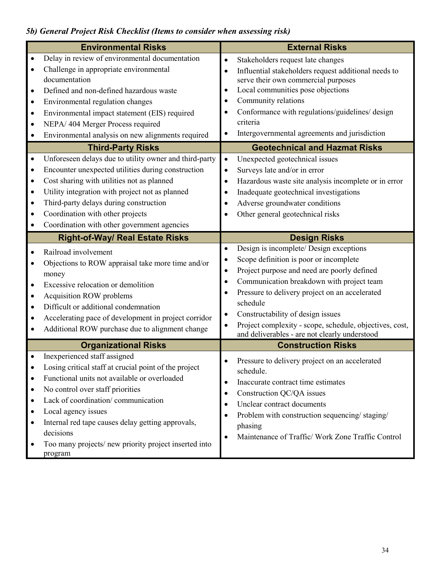# *5b) General Project Risk Checklist (Items to consider when assessing risk)*

|           | <b>Environmental Risks</b>                                         |           | <b>External Risks</b>                                   |
|-----------|--------------------------------------------------------------------|-----------|---------------------------------------------------------|
| $\bullet$ | Delay in review of environmental documentation                     | $\bullet$ | Stakeholders request late changes                       |
| $\bullet$ | Challenge in appropriate environmental                             | $\bullet$ | Influential stakeholders request additional needs to    |
|           | documentation                                                      |           | serve their own commercial purposes                     |
| $\bullet$ | Defined and non-defined hazardous waste                            | $\bullet$ | Local communities pose objections                       |
| $\bullet$ | Environmental regulation changes                                   | $\bullet$ | Community relations                                     |
| $\bullet$ | Environmental impact statement (EIS) required                      | $\bullet$ | Conformance with regulations/guidelines/ design         |
| $\bullet$ | NEPA/404 Merger Process required                                   |           | criteria                                                |
| $\bullet$ | Environmental analysis on new alignments required                  | $\bullet$ | Intergovernmental agreements and jurisdiction           |
|           | <b>Third-Party Risks</b>                                           |           | <b>Geotechnical and Hazmat Risks</b>                    |
| $\bullet$ | Unforeseen delays due to utility owner and third-party             | $\bullet$ | Unexpected geotechnical issues                          |
| $\bullet$ | Encounter unexpected utilities during construction                 | $\bullet$ | Surveys late and/or in error                            |
| $\bullet$ | Cost sharing with utilities not as planned                         | $\bullet$ | Hazardous waste site analysis incomplete or in error    |
| $\bullet$ | Utility integration with project not as planned                    | $\bullet$ | Inadequate geotechnical investigations                  |
| $\bullet$ | Third-party delays during construction                             | $\bullet$ | Adverse groundwater conditions                          |
| $\bullet$ | Coordination with other projects                                   | $\bullet$ | Other general geotechnical risks                        |
| $\bullet$ | Coordination with other government agencies                        |           |                                                         |
|           | <b>Right-of-Way/ Real Estate Risks</b>                             |           | <b>Design Risks</b>                                     |
|           | Railroad involvement                                               | $\bullet$ | Design is incomplete/ Design exceptions                 |
| $\bullet$ | Objections to ROW appraisal take more time and/or                  | $\bullet$ | Scope definition is poor or incomplete                  |
|           | money                                                              | $\bullet$ | Project purpose and need are poorly defined             |
| $\bullet$ | Excessive relocation or demolition                                 | $\bullet$ | Communication breakdown with project team               |
| $\bullet$ | Acquisition ROW problems                                           | $\bullet$ | Pressure to delivery project on an accelerated          |
| $\bullet$ | Difficult or additional condemnation                               |           | schedule                                                |
| $\bullet$ | Accelerating pace of development in project corridor               | $\bullet$ | Constructability of design issues                       |
| $\bullet$ | Additional ROW purchase due to alignment change                    | $\bullet$ | Project complexity - scope, schedule, objectives, cost, |
|           |                                                                    |           | and deliverables - are not clearly understood           |
|           | <b>Organizational Risks</b><br>Inexperienced staff assigned        |           | <b>Construction Risks</b>                               |
| $\bullet$ |                                                                    |           | Pressure to delivery project on an accelerated          |
|           |                                                                    |           |                                                         |
|           | Losing critical staff at crucial point of the project              |           | schedule.                                               |
| $\bullet$ | Functional units not available or overloaded                       | $\bullet$ | Inaccurate contract time estimates                      |
| $\bullet$ | No control over staff priorities                                   | $\bullet$ | Construction QC/QA issues                               |
| $\bullet$ | Lack of coordination/communication                                 | $\bullet$ | Unclear contract documents                              |
| $\bullet$ | Local agency issues                                                | $\bullet$ | Problem with construction sequencing/staging/           |
| ٠         | Internal red tape causes delay getting approvals,                  |           | phasing                                                 |
|           | decisions<br>Too many projects/ new priority project inserted into | $\bullet$ | Maintenance of Traffic/ Work Zone Traffic Control       |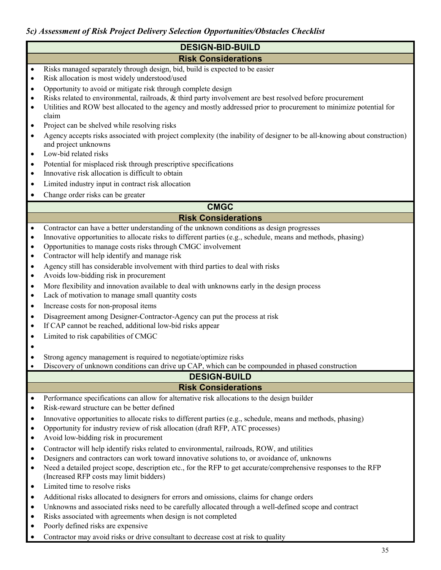## *5c) Assessment of Risk Project Delivery Selection Opportunities/Obstacles Checklist*

# **DESIGN-BID-BUILD**

## **Risk Considerations**

- Risks managed separately through design, bid, build is expected to be easier
- Risk allocation is most widely understood/used
- Opportunity to avoid or mitigate risk through complete design
- Risks related to environmental, railroads, & third party involvement are best resolved before procurement
- Utilities and ROW best allocated to the agency and mostly addressed prior to procurement to minimize potential for claim
- Project can be shelved while resolving risks
- Agency accepts risks associated with project complexity (the inability of designer to be all-knowing about construction) and project unknowns
- Low-bid related risks
- Potential for misplaced risk through prescriptive specifications
- Innovative risk allocation is difficult to obtain
- Limited industry input in contract risk allocation
- Change order risks can be greater

# **CMGC**

## **Risk Considerations**

- Contractor can have a better understanding of the unknown conditions as design progresses
- Innovative opportunities to allocate risks to different parties (e.g., schedule, means and methods, phasing)
- Opportunities to manage costs risks through CMGC involvement
- Contractor will help identify and manage risk
- Agency still has considerable involvement with third parties to deal with risks
- Avoids low-bidding risk in procurement
- More flexibility and innovation available to deal with unknowns early in the design process
- Lack of motivation to manage small quantity costs
- Increase costs for non-proposal items
- Disagreement among Designer-Contractor-Agency can put the process at risk
- If CAP cannot be reached, additional low-bid risks appear
- Limited to risk capabilities of CMGC
- •
- Strong agency management is required to negotiate/optimize risks
- Discovery of unknown conditions can drive up CAP, which can be compounded in phased construction

# **DESIGN-BUILD**

## **Risk Considerations**

- Performance specifications can allow for alternative risk allocations to the design builder
- Risk-reward structure can be better defined
- Innovative opportunities to allocate risks to different parties (e.g., schedule, means and methods, phasing)
- Opportunity for industry review of risk allocation (draft RFP, ATC processes)
- Avoid low-bidding risk in procurement
- Contractor will help identify risks related to environmental, railroads, ROW, and utilities
- Designers and contractors can work toward innovative solutions to, or avoidance of, unknowns
- Need a detailed project scope, description etc., for the RFP to get accurate/comprehensive responses to the RFP (Increased RFP costs may limit bidders)
- Limited time to resolve risks
- Additional risks allocated to designers for errors and omissions, claims for change orders
- Unknowns and associated risks need to be carefully allocated through a well-defined scope and contract
- Risks associated with agreements when design is not completed
- Poorly defined risks are expensive
- Contractor may avoid risks or drive consultant to decrease cost at risk to quality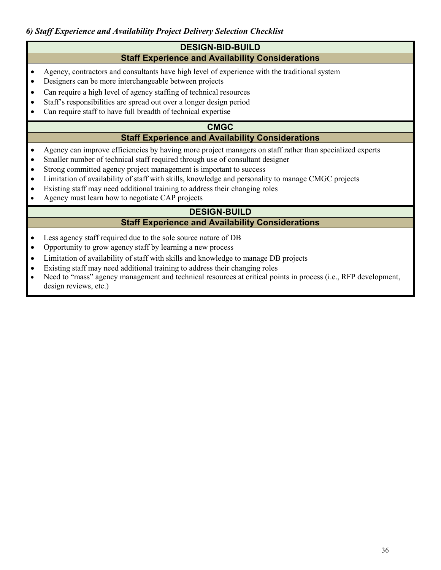## **DESIGN-BID-BUILD Staff Experience and Availability Considerations**

- Agency, contractors and consultants have high level of experience with the traditional system
- Designers can be more interchangeable between projects
- Can require a high level of agency staffing of technical resources
- Staff's responsibilities are spread out over a longer design period
- Can require staff to have full breadth of technical expertise

### **CMGC**

## **Staff Experience and Availability Considerations**

- Agency can improve efficiencies by having more project managers on staff rather than specialized experts
- Smaller number of technical staff required through use of consultant designer
- Strong committed agency project management is important to success
- Limitation of availability of staff with skills, knowledge and personality to manage CMGC projects
- Existing staff may need additional training to address their changing roles
- Agency must learn how to negotiate CAP projects

# **DESIGN-BUILD**

## **Staff Experience and Availability Considerations**

- Less agency staff required due to the sole source nature of DB
- Opportunity to grow agency staff by learning a new process
- Limitation of availability of staff with skills and knowledge to manage DB projects
- Existing staff may need additional training to address their changing roles
- Need to "mass" agency management and technical resources at critical points in process (i.e., RFP development, design reviews, etc.)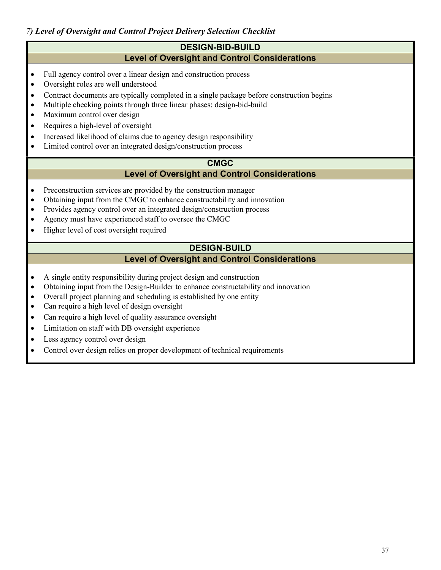### **DESIGN-BID-BUILD Level of Oversight and Control Considerations**

- Full agency control over a linear design and construction process
- Oversight roles are well understood
- Contract documents are typically completed in a single package before construction begins
- Multiple checking points through three linear phases: design-bid-build
- Maximum control over design
- Requires a high-level of oversight
- Increased likelihood of claims due to agency design responsibility
- Limited control over an integrated design/construction process

## **CMGC**

## **Level of Oversight and Control Considerations**

- Preconstruction services are provided by the construction manager
- Obtaining input from the CMGC to enhance constructability and innovation
- Provides agency control over an integrated design/construction process
- Agency must have experienced staff to oversee the CMGC
- Higher level of cost oversight required

### **DESIGN-BUILD Level of Oversight and Control Considerations**

- A single entity responsibility during project design and construction
- Obtaining input from the Design-Builder to enhance constructability and innovation
- Overall project planning and scheduling is established by one entity
- Can require a high level of design oversight
- Can require a high level of quality assurance oversight
- Limitation on staff with DB oversight experience
- Less agency control over design
- Control over design relies on proper development of technical requirements